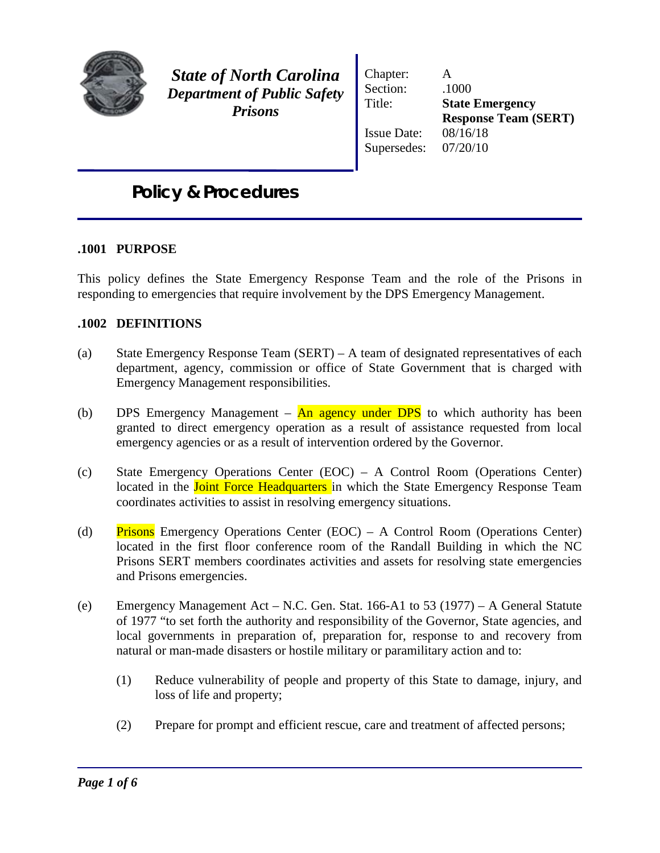

*State of North Carolina Department of Public Safety Prisons*

Chapter: A Section:  $.1000$ Title: **State Emergency**  Issue Date: 08/16/18 Supersedes: 07/20/10

**Response Team (SERT)**

# *Policy & Procedures*

# **.1001 PURPOSE**

This policy defines the State Emergency Response Team and the role of the Prisons in responding to emergencies that require involvement by the DPS Emergency Management.

#### **.1002 DEFINITIONS**

- (a) State Emergency Response Team (SERT) A team of designated representatives of each department, agency, commission or office of State Government that is charged with Emergency Management responsibilities.
- (b) DPS Emergency Management  $\overline{An}$  agency under DPS to which authority has been granted to direct emergency operation as a result of assistance requested from local emergency agencies or as a result of intervention ordered by the Governor.
- (c) State Emergency Operations Center (EOC) A Control Room (Operations Center) located in the **Joint Force Headquarters** in which the State Emergency Response Team coordinates activities to assist in resolving emergency situations.
- (d) Prisons Emergency Operations Center (EOC) A Control Room (Operations Center) located in the first floor conference room of the Randall Building in which the NC Prisons SERT members coordinates activities and assets for resolving state emergencies and Prisons emergencies.
- (e) Emergency Management Act N.C. Gen. Stat. 166-A1 to 53 (1977) A General Statute of 1977 "to set forth the authority and responsibility of the Governor, State agencies, and local governments in preparation of, preparation for, response to and recovery from natural or man-made disasters or hostile military or paramilitary action and to:
	- (1) Reduce vulnerability of people and property of this State to damage, injury, and loss of life and property;
	- (2) Prepare for prompt and efficient rescue, care and treatment of affected persons;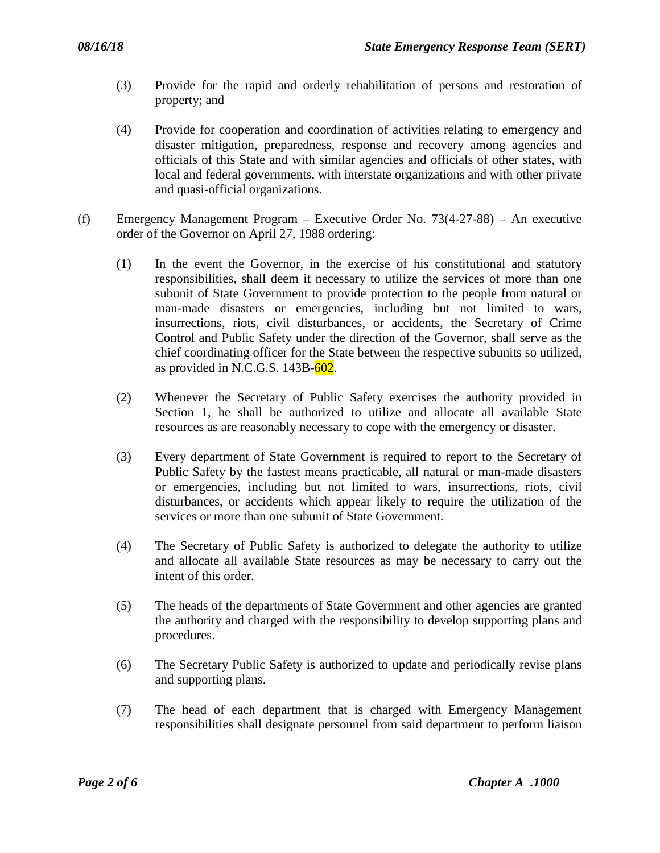- (3) Provide for the rapid and orderly rehabilitation of persons and restoration of property; and
- (4) Provide for cooperation and coordination of activities relating to emergency and disaster mitigation, preparedness, response and recovery among agencies and officials of this State and with similar agencies and officials of other states, with local and federal governments, with interstate organizations and with other private and quasi-official organizations.
- (f) Emergency Management Program Executive Order No. 73(4-27-88) An executive order of the Governor on April 27, 1988 ordering:
	- (1) In the event the Governor, in the exercise of his constitutional and statutory responsibilities, shall deem it necessary to utilize the services of more than one subunit of State Government to provide protection to the people from natural or man-made disasters or emergencies, including but not limited to wars, insurrections, riots, civil disturbances, or accidents, the Secretary of Crime Control and Public Safety under the direction of the Governor, shall serve as the chief coordinating officer for the State between the respective subunits so utilized, as provided in N.C.G.S.  $143B-602$ .
	- (2) Whenever the Secretary of Public Safety exercises the authority provided in Section 1, he shall be authorized to utilize and allocate all available State resources as are reasonably necessary to cope with the emergency or disaster.
	- (3) Every department of State Government is required to report to the Secretary of Public Safety by the fastest means practicable, all natural or man-made disasters or emergencies, including but not limited to wars, insurrections, riots, civil disturbances, or accidents which appear likely to require the utilization of the services or more than one subunit of State Government.
	- (4) The Secretary of Public Safety is authorized to delegate the authority to utilize and allocate all available State resources as may be necessary to carry out the intent of this order.
	- (5) The heads of the departments of State Government and other agencies are granted the authority and charged with the responsibility to develop supporting plans and procedures.
	- (6) The Secretary Public Safety is authorized to update and periodically revise plans and supporting plans.
	- (7) The head of each department that is charged with Emergency Management responsibilities shall designate personnel from said department to perform liaison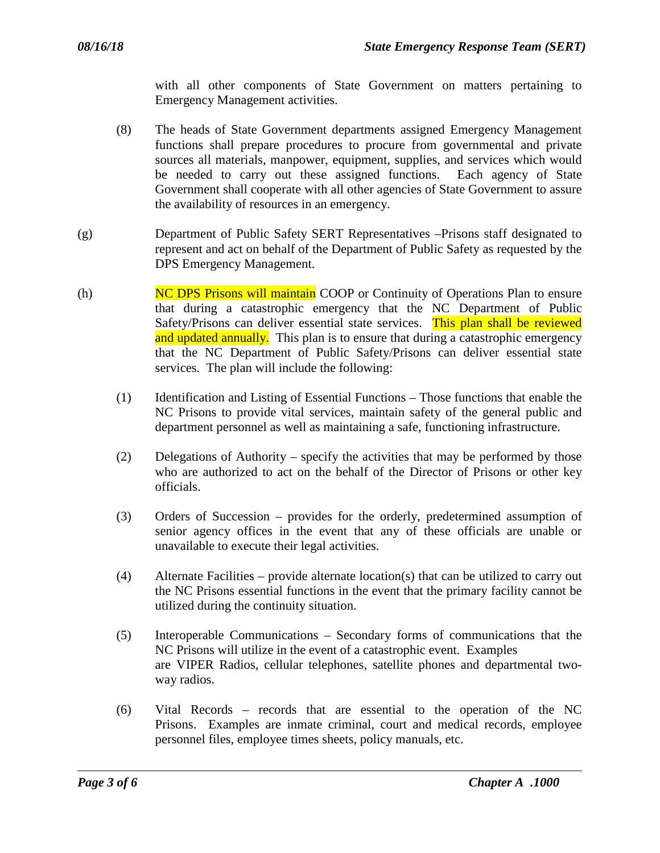with all other components of State Government on matters pertaining to Emergency Management activities.

- (8) The heads of State Government departments assigned Emergency Management functions shall prepare procedures to procure from governmental and private sources all materials, manpower, equipment, supplies, and services which would be needed to carry out these assigned functions. Each agency of State Government shall cooperate with all other agencies of State Government to assure the availability of resources in an emergency.
- (g) Department of Public Safety SERT Representatives –Prisons staff designated to represent and act on behalf of the Department of Public Safety as requested by the DPS Emergency Management.
- (h) NC DPS Prisons will maintain COOP or Continuity of Operations Plan to ensure that during a catastrophic emergency that the NC Department of Public Safety/Prisons can deliver essential state services. This plan shall be reviewed and updated annually. This plan is to ensure that during a catastrophic emergency that the NC Department of Public Safety/Prisons can deliver essential state services. The plan will include the following:
	- (1) Identification and Listing of Essential Functions Those functions that enable the NC Prisons to provide vital services, maintain safety of the general public and department personnel as well as maintaining a safe, functioning infrastructure.
	- (2) Delegations of Authority specify the activities that may be performed by those who are authorized to act on the behalf of the Director of Prisons or other key officials.
	- (3) Orders of Succession provides for the orderly, predetermined assumption of senior agency offices in the event that any of these officials are unable or unavailable to execute their legal activities.
	- (4) Alternate Facilities provide alternate location(s) that can be utilized to carry out the NC Prisons essential functions in the event that the primary facility cannot be utilized during the continuity situation.
	- (5) Interoperable Communications Secondary forms of communications that the NC Prisons will utilize in the event of a catastrophic event. Examples are VIPER Radios, cellular telephones, satellite phones and departmental twoway radios.
	- (6) Vital Records records that are essential to the operation of the NC Prisons. Examples are inmate criminal, court and medical records, employee personnel files, employee times sheets, policy manuals, etc.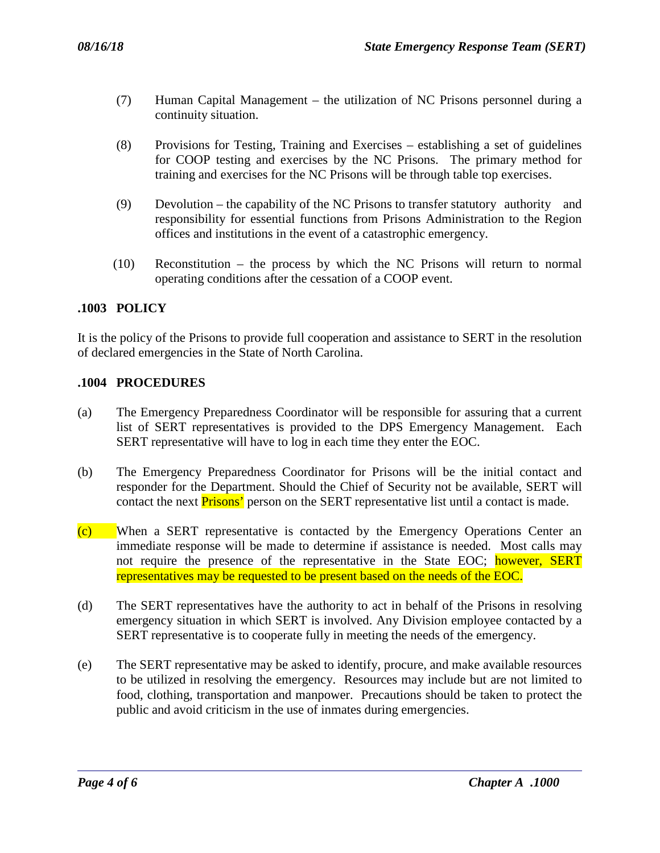- (7) Human Capital Management the utilization of NC Prisons personnel during a continuity situation.
- (8) Provisions for Testing, Training and Exercises establishing a set of guidelines for COOP testing and exercises by the NC Prisons. The primary method for training and exercises for the NC Prisons will be through table top exercises.
- (9) Devolution the capability of the NC Prisons to transfer statutory authority and responsibility for essential functions from Prisons Administration to the Region offices and institutions in the event of a catastrophic emergency.
- (10) Reconstitution the process by which the NC Prisons will return to normal operating conditions after the cessation of a COOP event.

# **.1003 POLICY**

It is the policy of the Prisons to provide full cooperation and assistance to SERT in the resolution of declared emergencies in the State of North Carolina.

# **.1004 PROCEDURES**

- (a) The Emergency Preparedness Coordinator will be responsible for assuring that a current list of SERT representatives is provided to the DPS Emergency Management. Each SERT representative will have to log in each time they enter the EOC.
- (b) The Emergency Preparedness Coordinator for Prisons will be the initial contact and responder for the Department. Should the Chief of Security not be available, SERT will contact the next **Prisons'** person on the SERT representative list until a contact is made.
- (c) When a SERT representative is contacted by the Emergency Operations Center an immediate response will be made to determine if assistance is needed. Most calls may not require the presence of the representative in the State EOC; however, SERT representatives may be requested to be present based on the needs of the EOC.
- (d) The SERT representatives have the authority to act in behalf of the Prisons in resolving emergency situation in which SERT is involved. Any Division employee contacted by a SERT representative is to cooperate fully in meeting the needs of the emergency.
- (e) The SERT representative may be asked to identify, procure, and make available resources to be utilized in resolving the emergency. Resources may include but are not limited to food, clothing, transportation and manpower. Precautions should be taken to protect the public and avoid criticism in the use of inmates during emergencies.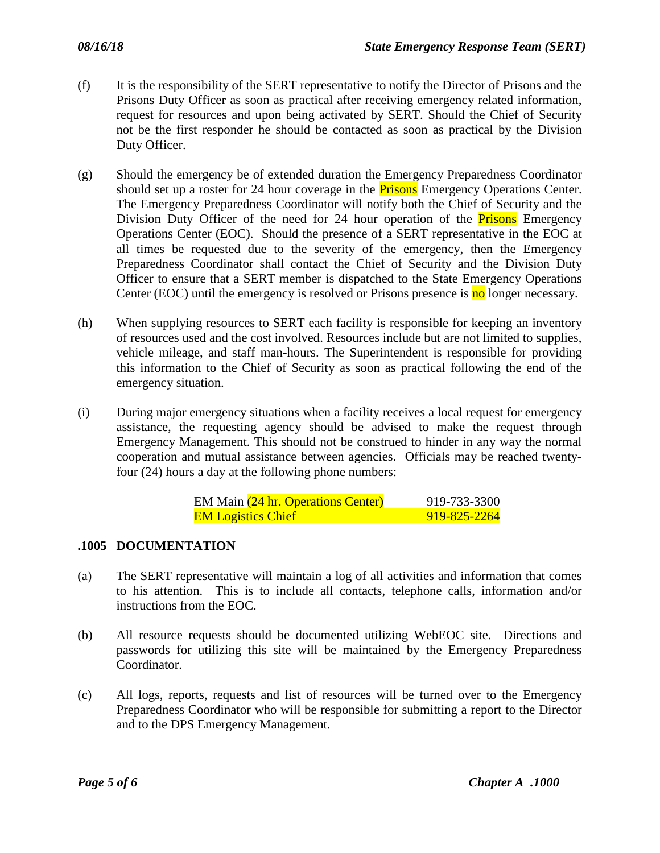- (f) It is the responsibility of the SERT representative to notify the Director of Prisons and the Prisons Duty Officer as soon as practical after receiving emergency related information, request for resources and upon being activated by SERT. Should the Chief of Security not be the first responder he should be contacted as soon as practical by the Division Duty Officer.
- (g) Should the emergency be of extended duration the Emergency Preparedness Coordinator should set up a roster for 24 hour coverage in the **Prisons** Emergency Operations Center. The Emergency Preparedness Coordinator will notify both the Chief of Security and the Division Duty Officer of the need for 24 hour operation of the **Prisons** Emergency Operations Center (EOC). Should the presence of a SERT representative in the EOC at all times be requested due to the severity of the emergency, then the Emergency Preparedness Coordinator shall contact the Chief of Security and the Division Duty Officer to ensure that a SERT member is dispatched to the State Emergency Operations Center (EOC) until the emergency is resolved or Prisons presence is no longer necessary.
- (h) When supplying resources to SERT each facility is responsible for keeping an inventory of resources used and the cost involved. Resources include but are not limited to supplies, vehicle mileage, and staff man-hours. The Superintendent is responsible for providing this information to the Chief of Security as soon as practical following the end of the emergency situation.
- (i) During major emergency situations when a facility receives a local request for emergency assistance, the requesting agency should be advised to make the request through Emergency Management. This should not be construed to hinder in any way the normal cooperation and mutual assistance between agencies. Officials may be reached twentyfour (24) hours a day at the following phone numbers:

|                           | EM Main (24 hr. Operations Center) | 919-733-3300 |
|---------------------------|------------------------------------|--------------|
| <b>EM Logistics Chief</b> |                                    | 919-825-2264 |

#### **.1005 DOCUMENTATION**

- (a) The SERT representative will maintain a log of all activities and information that comes to his attention. This is to include all contacts, telephone calls, information and/or instructions from the EOC.
- (b) All resource requests should be documented utilizing WebEOC site. Directions and passwords for utilizing this site will be maintained by the Emergency Preparedness Coordinator.
- (c) All logs, reports, requests and list of resources will be turned over to the Emergency Preparedness Coordinator who will be responsible for submitting a report to the Director and to the DPS Emergency Management.